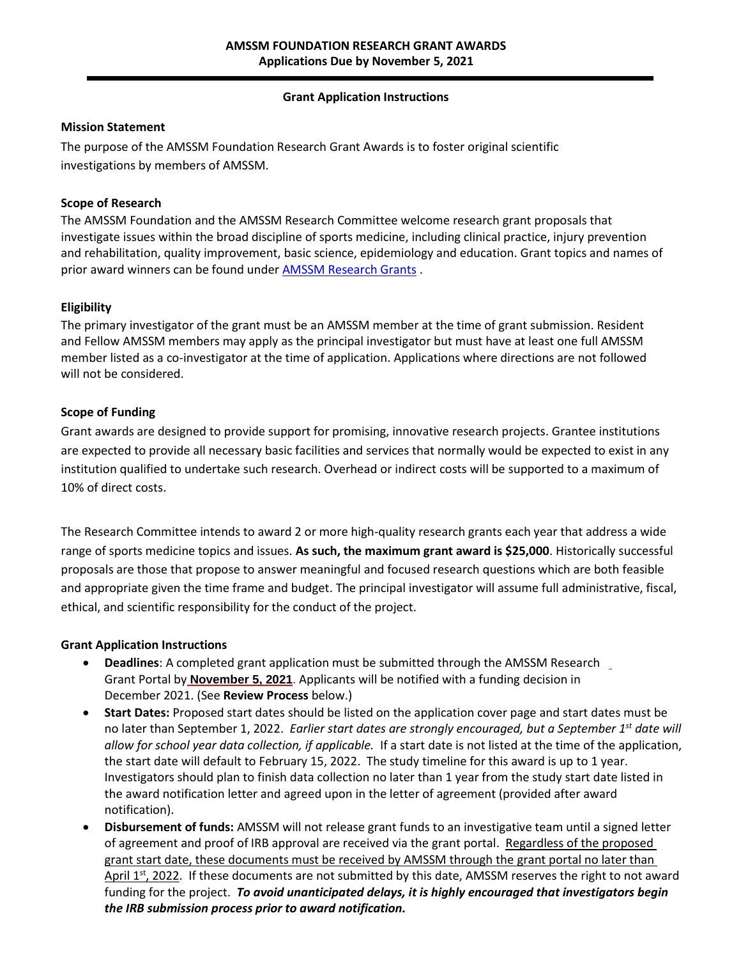# **Grant Application Instructions**

# **Mission Statement**

The purpose of the AMSSM Foundation Research Grant Awards is to foster original scientific investigations by members of AMSSM.

# **Scope of Research**

The AMSSM Foundation and the AMSSM Research Committee welcome research grant proposals that investigate issues within the broad discipline of sports medicine, including clinical practice, injury prevention and rehabilitation, quality improvement, basic science, epidemiology and education. Grant topics and names of prior award winners can be found under [AMSSM Research Grants](https://www.amssm.org/Research.php) .

# **Eligibility**

The primary investigator of the grant must be an AMSSM member at the time of grant submission. Resident and Fellow AMSSM members may apply as the principal investigator but must have at least one full AMSSM member listed as a co-investigator at the time of application. Applications where directions are not followed will not be considered.

#### **Scope of Funding**

Grant awards are designed to provide support for promising, innovative research projects. Grantee institutions are expected to provide all necessary basic facilities and services that normally would be expected to exist in any institution qualified to undertake such research. Overhead or indirect costs will be supported to a maximum of 10% of direct costs.

The Research Committee intends to award 2 or more high-quality research grants each year that address a wide range of sports medicine topics and issues. **As such, the maximum grant award is \$25,000**. Historically successful proposals are those that propose to answer meaningful and focused research questions which are both feasible and appropriate given the time frame and budget. The principal investigator will assume full administrative, fiscal, ethical, and scientific responsibility for the conduct of the project.

#### **Grant Application Instructions**

- **Deadlines:** A completed grant application must be submitted through the AMSSM Research  $\overline{\phantom{a}}$ Grant Portal by **November 5, 2021**. Applicants will be notified with a funding decision in December 2021. (See **Review Process** below.)
- **Start Dates:** Proposed start dates should be listed on the application cover page and start dates must be no later than September 1, 2022. *Earlier start dates are strongly encouraged, but a September 1st date will allow for school year data collection, if applicable.* If a start date is not listed at the time of the application, the start date will default to February 15, 2022. The study timeline for this award is up to 1 year. Investigators should plan to finish data collection no later than 1 year from the study start date listed in the award notification letter and agreed upon in the letter of agreement (provided after award notification).
- **Disbursement of funds:** AMSSM will not release grant funds to an investigative team until a signed letter of agreement and proof of IRB approval are received via the grant portal. Regardless of the proposed grant start date, these documents must be received by AMSSM through the grant portal no later than April 1<sup>st</sup>, 2022. If these documents are not submitted by this date, AMSSM reserves the right to not award funding for the project. *To avoid unanticipated delays, it is highly encouraged that investigators begin the IRB submission process prior to award notification.*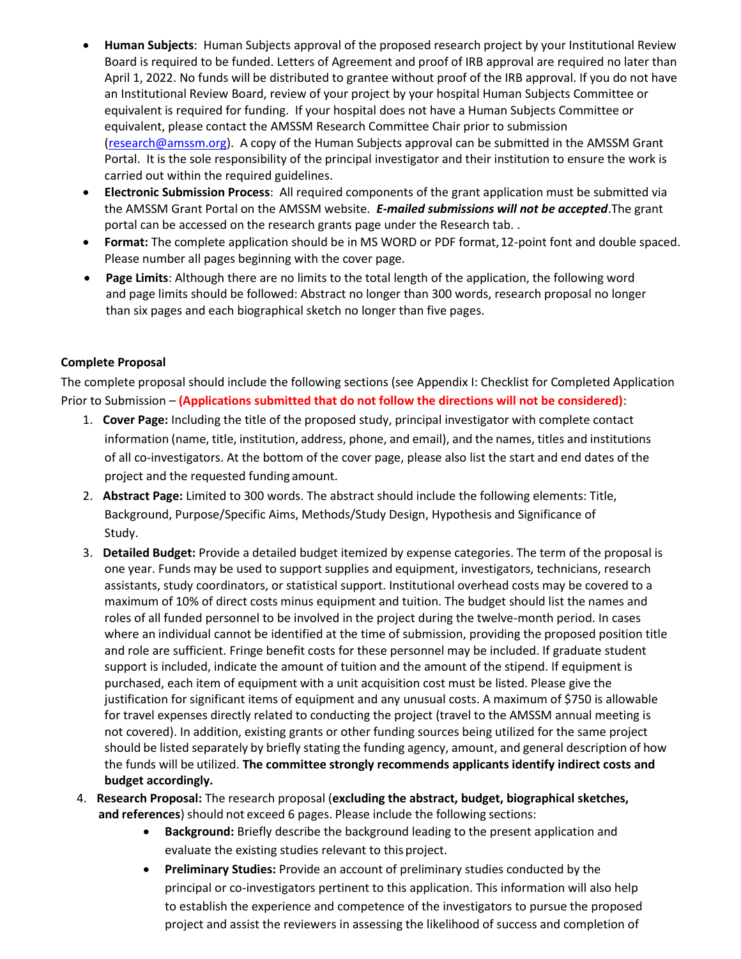- **Human Subjects**: Human Subjects approval of the proposed research project by your Institutional Review Board is required to be funded. Letters of Agreement and proof of IRB approval are required no later than April 1, 2022. No funds will be distributed to grantee without proof of the IRB approval. If you do not have an Institutional Review Board, review of your project by your hospital Human Subjects Committee or equivalent is required for funding. If your hospital does not have a Human Subjects Committee or equivalent, please contact the AMSSM Research Committee Chair prior to submission [\(research@amssm.org\)](mailto:research@amssm.org). A copy of the Human Subjects approval can be submitted in the AMSSM Grant Portal. It is the sole responsibility of the principal investigator and their institution to ensure the work is carried out within the required guidelines.
- **Electronic Submission Process**: All required components of the grant application must be submitted via the AMSSM Grant Portal on the AMSSM website. *E-mailed submissions will not be accepted*.The grant portal can be accessed on the research grants page under the Research tab. .
- **Format:** The complete application should be in MS WORD or PDF format,12-point font and double spaced. Please number all pages beginning with the cover page.
- **Page Limits**: Although there are no limits to the total length of the application, the following word and page limits should be followed: Abstract no longer than 300 words, research proposal no longer than six pages and each biographical sketch no longer than five pages.

# **Complete Proposal**

The complete proposal should include the following sections (see Appendix I: Checklist for Completed Application Prior to Submission – **(Applications submitted that do not follow the directions will not be considered)**:

- 1. **Cover Page:** Including the title of the proposed study, principal investigator with complete contact information (name, title, institution, address, phone, and email), and the names, titles and institutions of all co-investigators. At the bottom of the cover page, please also list the start and end dates of the project and the requested funding amount.
- 2. **Abstract Page:** Limited to 300 words. The abstract should include the following elements: Title, Background, Purpose/Specific Aims, Methods/Study Design, Hypothesis and Significance of Study.
- 3. **Detailed Budget:** Provide a detailed budget itemized by expense categories. The term of the proposal is one year. Funds may be used to support supplies and equipment, investigators, technicians, research assistants, study coordinators, or statistical support. Institutional overhead costs may be covered to a maximum of 10% of direct costs minus equipment and tuition. The budget should list the names and roles of all funded personnel to be involved in the project during the twelve-month period. In cases where an individual cannot be identified at the time of submission, providing the proposed position title and role are sufficient. Fringe benefit costs for these personnel may be included. If graduate student support is included, indicate the amount of tuition and the amount of the stipend. If equipment is purchased, each item of equipment with a unit acquisition cost must be listed. Please give the justification for significant items of equipment and any unusual costs. A maximum of \$750 is allowable for travel expenses directly related to conducting the project (travel to the AMSSM annual meeting is not covered). In addition, existing grants or other funding sources being utilized for the same project should be listed separately by briefly stating the funding agency, amount, and general description of how the funds will be utilized. **The committee strongly recommends applicants identify indirect costs and budget accordingly.**
- 4. **Research Proposal:** The research proposal (**excluding the abstract, budget, biographical sketches, and references**) should not exceed 6 pages. Please include the following sections:
	- **Background:** Briefly describe the background leading to the present application and evaluate the existing studies relevant to this project.
	- **Preliminary Studies:** Provide an account of preliminary studies conducted by the principal or co-investigators pertinent to this application. This information will also help to establish the experience and competence of the investigators to pursue the proposed project and assist the reviewers in assessing the likelihood of success and completion of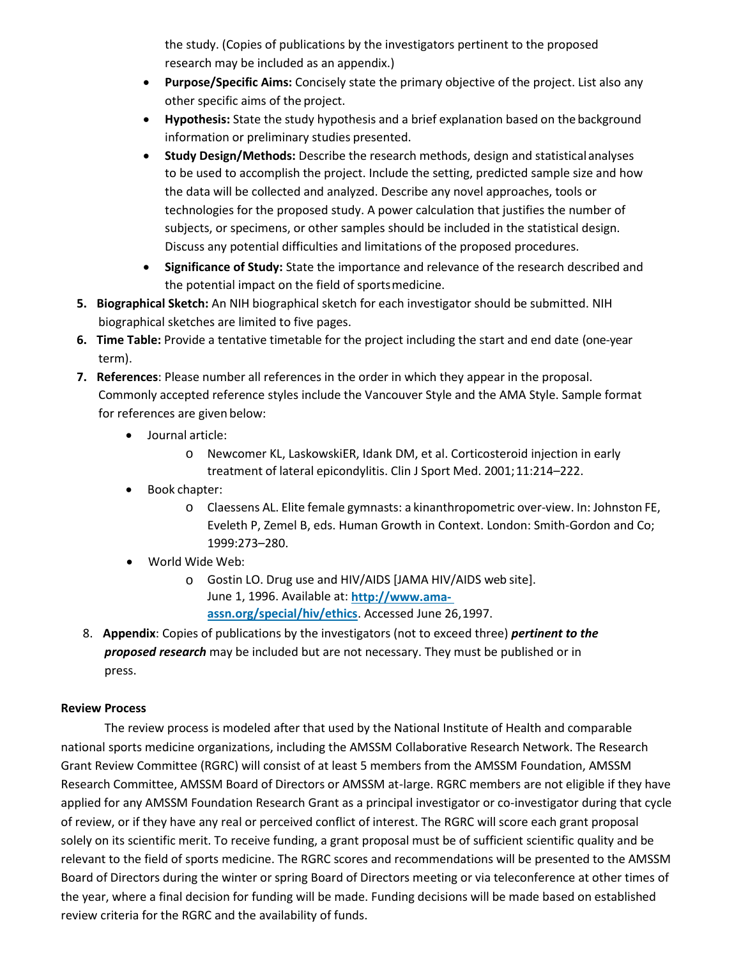the study. (Copies of publications by the investigators pertinent to the proposed research may be included as an appendix.)

- **Purpose/Specific Aims:** Concisely state the primary objective of the project. List also any other specific aims of the project.
- **Hypothesis:** State the study hypothesis and a brief explanation based on the background information or preliminary studies presented.
- **Study Design/Methods:** Describe the research methods, design and statisticalanalyses to be used to accomplish the project. Include the setting, predicted sample size and how the data will be collected and analyzed. Describe any novel approaches, tools or technologies for the proposed study. A power calculation that justifies the number of subjects, or specimens, or other samples should be included in the statistical design. Discuss any potential difficulties and limitations of the proposed procedures.
- **Significance of Study:** State the importance and relevance of the research described and the potential impact on the field of sportsmedicine.
- **5. Biographical Sketch:** An NIH biographical sketch for each investigator should be submitted. NIH biographical sketches are limited to five pages.
- **6. Time Table:** Provide a tentative timetable for the project including the start and end date (one-year term).
- **7. References**: Please number all references in the order in which they appear in the proposal. Commonly accepted reference styles include the Vancouver Style and the AMA Style. Sample format for references are given below:
	- Journal article:
		- o Newcomer KL, LaskowskiER, Idank DM, et al. Corticosteroid injection in early treatment of lateral epicondylitis. Clin J Sport Med. 2001;11:214–222.
	- Book chapter:
		- o Claessens AL. Elite female gymnasts: a kinanthropometric over-view. In: Johnston FE, Eveleth P, Zemel B, eds. Human Growth in Context. London: Smith-Gordon and Co; 1999:273–280.
	- World Wide Web:
		- o Gostin LO. Drug use and HIV/AIDS [JAMA HIV/AIDS web site]. June 1, 1996. Available at: **http://www.amaassn.org/special/hiv/ethics**. Accessed June 26,1997.
- 8. **Appendix**: Copies of publications by the investigators (not to exceed three) *pertinent to the proposed research* may be included but are not necessary. They must be published or in press.

# **Review Process**

The review process is modeled after that used by the National Institute of Health and comparable national sports medicine organizations, including the AMSSM Collaborative Research Network. The Research Grant Review Committee (RGRC) will consist of at least 5 members from the AMSSM Foundation, AMSSM Research Committee, AMSSM Board of Directors or AMSSM at-large. RGRC members are not eligible if they have applied for any AMSSM Foundation Research Grant as a principal investigator or co-investigator during that cycle of review, or if they have any real or perceived conflict of interest. The RGRC will score each grant proposal solely on its scientific merit. To receive funding, a grant proposal must be of sufficient scientific quality and be relevant to the field of sports medicine. The RGRC scores and recommendations will be presented to the AMSSM Board of Directors during the winter or spring Board of Directors meeting or via teleconference at other times of the year, where a final decision for funding will be made. Funding decisions will be made based on established review criteria for the RGRC and the availability of funds.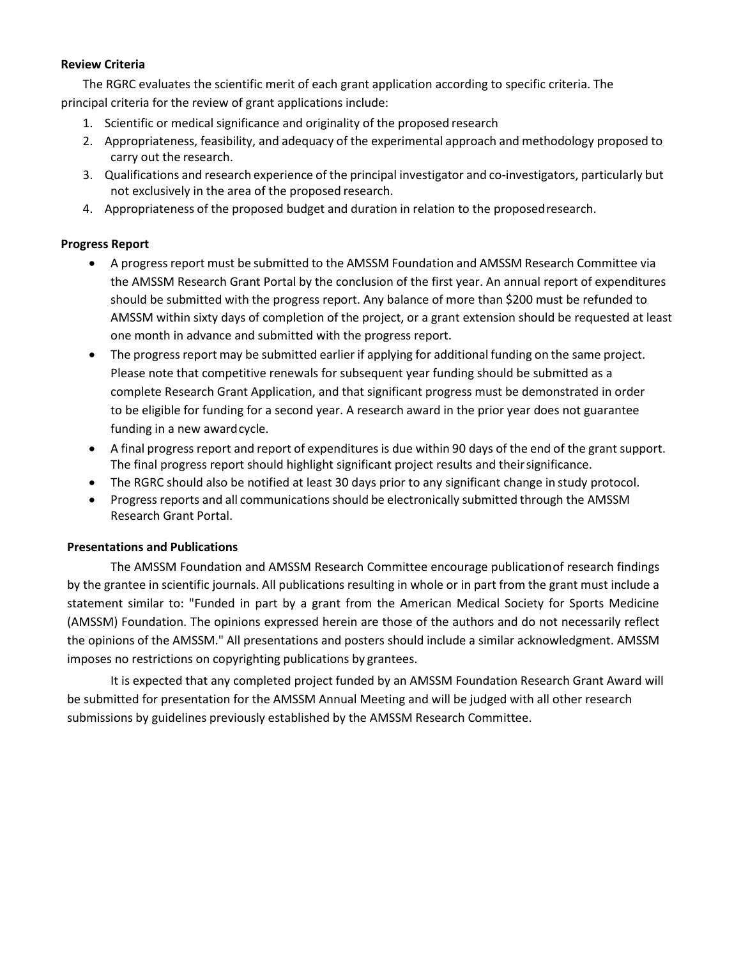#### **Review Criteria**

The RGRC evaluates the scientific merit of each grant application according to specific criteria. The principal criteria for the review of grant applications include:

- 1. Scientific or medical significance and originality of the proposed research
- 2. Appropriateness, feasibility, and adequacy of the experimental approach and methodology proposed to carry out the research.
- 3. Qualifications and research experience of the principal investigator and co-investigators, particularly but not exclusively in the area of the proposed research.
- 4. Appropriateness of the proposed budget and duration in relation to the proposedresearch.

# **Progress Report**

- A progress report must be submitted to the AMSSM Foundation and AMSSM Research Committee via the AMSSM Research Grant Portal by the conclusion of the first year. An annual report of expenditures should be submitted with the progress report. Any balance of more than \$200 must be refunded to AMSSM within sixty days of completion of the project, or a grant extension should be requested at least one month in advance and submitted with the progress report.
- The progress report may be submitted earlier if applying for additional funding on the same project. Please note that competitive renewals for subsequent year funding should be submitted as a complete Research Grant Application, and that significant progress must be demonstrated in order to be eligible for funding for a second year. A research award in the prior year does not guarantee funding in a new awardcycle.
- A final progress report and report of expenditures is due within 90 days of the end of the grant support. The final progress report should highlight significant project results and theirsignificance.
- The RGRC should also be notified at least 30 days prior to any significant change in study protocol.
- Progress reports and all communicationsshould be electronically submitted through the AMSSM Research Grant Portal.

# **Presentations and Publications**

The AMSSM Foundation and AMSSM Research Committee encourage publicationof research findings by the grantee in scientific journals. All publications resulting in whole or in part from the grant must include a statement similar to: "Funded in part by a grant from the American Medical Society for Sports Medicine (AMSSM) Foundation. The opinions expressed herein are those of the authors and do not necessarily reflect the opinions of the AMSSM." All presentations and posters should include a similar acknowledgment. AMSSM imposes no restrictions on copyrighting publications by grantees.

It is expected that any completed project funded by an AMSSM Foundation Research Grant Award will be submitted for presentation for the AMSSM Annual Meeting and will be judged with all other research submissions by guidelines previously established by the AMSSM Research Committee.